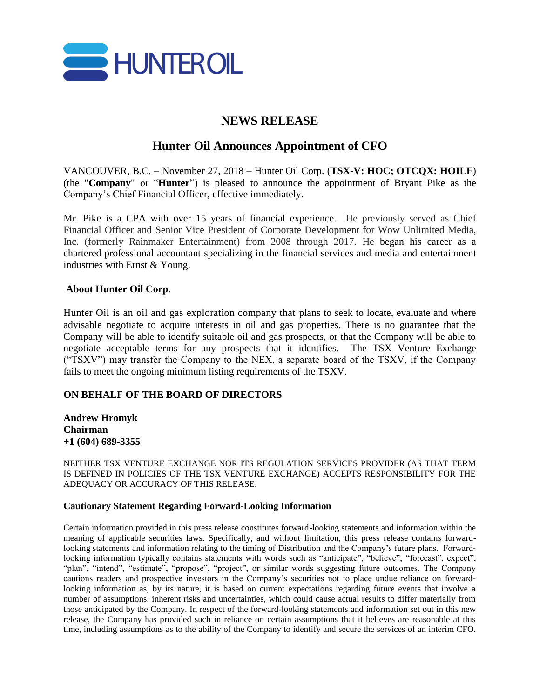

## **NEWS RELEASE**

# **Hunter Oil Announces Appointment of CFO**

VANCOUVER, B.C. – November 27, 2018 – Hunter Oil Corp. (**TSX-V: HOC; OTCQX: HOILF**) (the "**Company**" or "**Hunter**") is pleased to announce the appointment of Bryant Pike as the Company's Chief Financial Officer, effective immediately.

Mr. Pike is a CPA with over 15 years of financial experience. He previously served as Chief Financial Officer and Senior Vice President of Corporate Development for Wow Unlimited Media, Inc. (formerly Rainmaker Entertainment) from 2008 through 2017. He began his career as a chartered professional accountant specializing in the financial services and media and entertainment industries with Ernst & Young.

### **About Hunter Oil Corp.**

Hunter Oil is an oil and gas exploration company that plans to seek to locate, evaluate and where advisable negotiate to acquire interests in oil and gas properties. There is no guarantee that the Company will be able to identify suitable oil and gas prospects, or that the Company will be able to negotiate acceptable terms for any prospects that it identifies. The TSX Venture Exchange ("TSXV") may transfer the Company to the NEX, a separate board of the TSXV, if the Company fails to meet the ongoing minimum listing requirements of the TSXV.

### **ON BEHALF OF THE BOARD OF DIRECTORS**

**Andrew Hromyk Chairman +1 (604) 689-3355**

NEITHER TSX VENTURE EXCHANGE NOR ITS REGULATION SERVICES PROVIDER (AS THAT TERM IS DEFINED IN POLICIES OF THE TSX VENTURE EXCHANGE) ACCEPTS RESPONSIBILITY FOR THE ADEQUACY OR ACCURACY OF THIS RELEASE.

#### **Cautionary Statement Regarding Forward-Looking Information**

Certain information provided in this press release constitutes forward-looking statements and information within the meaning of applicable securities laws. Specifically, and without limitation, this press release contains forwardlooking statements and information relating to the timing of Distribution and the Company's future plans. Forward‐ looking information typically contains statements with words such as "anticipate", "believe", "forecast", expect", "plan", "intend", "estimate", "propose", "project", or similar words suggesting future outcomes. The Company cautions readers and prospective investors in the Company's securities not to place undue reliance on forward‐ looking information as, by its nature, it is based on current expectations regarding future events that involve a number of assumptions, inherent risks and uncertainties, which could cause actual results to differ materially from those anticipated by the Company. In respect of the forward-looking statements and information set out in this new release, the Company has provided such in reliance on certain assumptions that it believes are reasonable at this time, including assumptions as to the ability of the Company to identify and secure the services of an interim CFO.